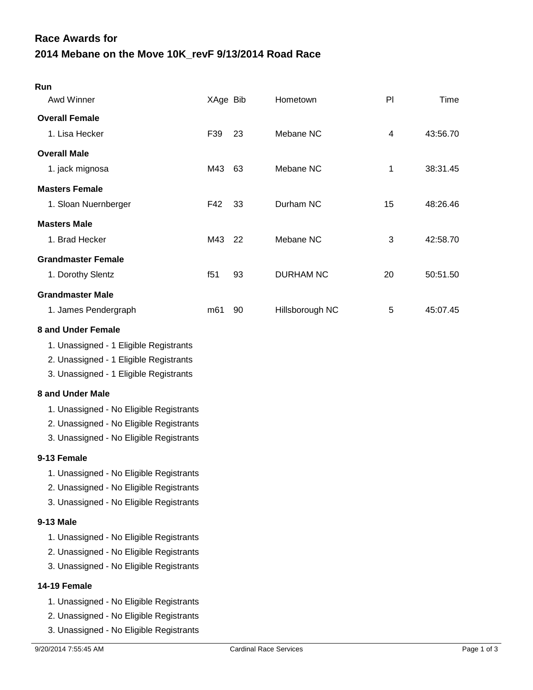## **2014 Mebane on the Move 10K\_revF 9/13/2014 Road Race Race Awards for**

| Run<br>Awd Winner                                                                                                                                                                                                                                                                                                                                                                                                                                            | XAge Bib |    | Hometown         | PI | Time     |
|--------------------------------------------------------------------------------------------------------------------------------------------------------------------------------------------------------------------------------------------------------------------------------------------------------------------------------------------------------------------------------------------------------------------------------------------------------------|----------|----|------------------|----|----------|
|                                                                                                                                                                                                                                                                                                                                                                                                                                                              |          |    |                  |    |          |
| <b>Overall Female</b><br>1. Lisa Hecker                                                                                                                                                                                                                                                                                                                                                                                                                      | F39      | 23 | Mebane NC        | 4  | 43:56.70 |
|                                                                                                                                                                                                                                                                                                                                                                                                                                                              |          |    |                  |    |          |
| <b>Overall Male</b>                                                                                                                                                                                                                                                                                                                                                                                                                                          |          |    |                  |    |          |
| 1. jack mignosa                                                                                                                                                                                                                                                                                                                                                                                                                                              | M43      | 63 | Mebane NC        | 1  | 38:31.45 |
| <b>Masters Female</b>                                                                                                                                                                                                                                                                                                                                                                                                                                        |          |    |                  |    |          |
| 1. Sloan Nuernberger                                                                                                                                                                                                                                                                                                                                                                                                                                         | F42      | 33 | Durham NC        | 15 | 48:26.46 |
| <b>Masters Male</b>                                                                                                                                                                                                                                                                                                                                                                                                                                          |          |    |                  |    |          |
| 1. Brad Hecker                                                                                                                                                                                                                                                                                                                                                                                                                                               | M43      | 22 | Mebane NC        | 3  | 42:58.70 |
| <b>Grandmaster Female</b>                                                                                                                                                                                                                                                                                                                                                                                                                                    |          |    |                  |    |          |
| 1. Dorothy Slentz                                                                                                                                                                                                                                                                                                                                                                                                                                            | f51      | 93 | <b>DURHAM NC</b> | 20 | 50:51.50 |
| <b>Grandmaster Male</b>                                                                                                                                                                                                                                                                                                                                                                                                                                      |          |    |                  |    |          |
| 1. James Pendergraph                                                                                                                                                                                                                                                                                                                                                                                                                                         | m61      | 90 | Hillsborough NC  | 5  | 45:07.45 |
| <b>8 and Under Female</b><br>1. Unassigned - 1 Eligible Registrants<br>2. Unassigned - 1 Eligible Registrants<br>3. Unassigned - 1 Eligible Registrants<br>8 and Under Male<br>1. Unassigned - No Eligible Registrants<br>2. Unassigned - No Eligible Registrants<br>3. Unassigned - No Eligible Registrants<br>9-13 Female<br>1. Unassigned - No Eligible Registrants<br>2. Unassigned - No Eligible Registrants<br>3. Unassigned - No Eligible Registrants |          |    |                  |    |          |
| 9-13 Male                                                                                                                                                                                                                                                                                                                                                                                                                                                    |          |    |                  |    |          |
| 1. Unassigned - No Eligible Registrants<br>2. Unassigned - No Eligible Registrants<br>3. Unassigned - No Eligible Registrants                                                                                                                                                                                                                                                                                                                                |          |    |                  |    |          |
| 14-19 Female                                                                                                                                                                                                                                                                                                                                                                                                                                                 |          |    |                  |    |          |
| 1. Unassigned - No Eligible Registrants<br>2. Unassigned - No Eligible Registrants<br>3. Unassigned - No Eligible Registrants                                                                                                                                                                                                                                                                                                                                |          |    |                  |    |          |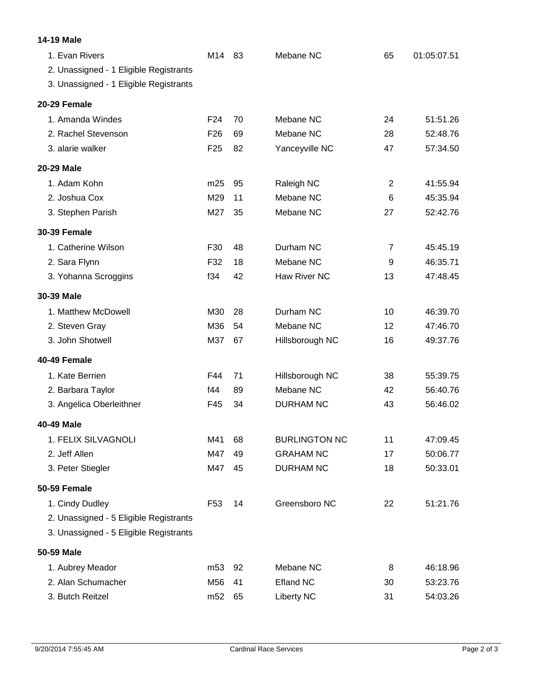| <b>14-19 Male</b>                                                                                  |                 |    |                      |                |             |
|----------------------------------------------------------------------------------------------------|-----------------|----|----------------------|----------------|-------------|
| 1. Evan Rivers<br>2. Unassigned - 1 Eligible Registrants<br>3. Unassigned - 1 Eligible Registrants | M14             | 83 | Mebane NC            | 65             | 01:05:07.51 |
| 20-29 Female                                                                                       |                 |    |                      |                |             |
| 1. Amanda Windes                                                                                   | F <sub>24</sub> | 70 | Mebane NC            | 24             | 51:51.26    |
| 2. Rachel Stevenson                                                                                | F <sub>26</sub> | 69 | Mebane NC            | 28             | 52:48.76    |
| 3. alarie walker                                                                                   | F <sub>25</sub> | 82 | Yanceyville NC       | 47             | 57:34.50    |
| 20-29 Male                                                                                         |                 |    |                      |                |             |
| 1. Adam Kohn                                                                                       | m25             | 95 | Raleigh NC           | 2              | 41:55.94    |
| 2. Joshua Cox                                                                                      | M29             | 11 | Mebane NC            | 6              | 45:35.94    |
| 3. Stephen Parish                                                                                  | M27             | 35 | Mebane NC            | 27             | 52:42.76    |
| <b>30-39 Female</b>                                                                                |                 |    |                      |                |             |
| 1. Catherine Wilson                                                                                | F30             | 48 | Durham NC            | $\overline{7}$ | 45:45.19    |
| 2. Sara Flynn                                                                                      | F32             | 18 | Mebane NC            | 9              | 46:35.71    |
| 3. Yohanna Scroggins                                                                               | f34             | 42 | Haw River NC         | 13             | 47:48.45    |
| 30-39 Male                                                                                         |                 |    |                      |                |             |
| 1. Matthew McDowell                                                                                | M30             | 28 | Durham NC            | 10             | 46:39.70    |
| 2. Steven Gray                                                                                     | M36             | 54 | Mebane NC            | 12             | 47:46.70    |
| 3. John Shotwell                                                                                   | M37             | 67 | Hillsborough NC      | 16             | 49:37.76    |
| 40-49 Female                                                                                       |                 |    |                      |                |             |
| 1. Kate Berrien                                                                                    | F44             | 71 | Hillsborough NC      | 38             | 55:39.75    |
| 2. Barbara Taylor                                                                                  | f44             | 89 | Mebane NC            | 42             | 56:40.76    |
| 3. Angelica Oberleithner                                                                           | F45             | 34 | <b>DURHAM NC</b>     | 43             | 56:46.02    |
| <b>40-49 Male</b>                                                                                  |                 |    |                      |                |             |
| 1. FELIX SILVAGNOLI                                                                                | M41             | 68 | <b>BURLINGTON NC</b> | 11             | 47:09.45    |
| 2. Jeff Allen                                                                                      | M47             | 49 | <b>GRAHAM NC</b>     | 17             | 50:06.77    |
| 3. Peter Stiegler                                                                                  | M47             | 45 | <b>DURHAM NC</b>     | 18             | 50:33.01    |
| <b>50-59 Female</b>                                                                                |                 |    |                      |                |             |
| 1. Cindy Dudley                                                                                    | F <sub>53</sub> | 14 | Greensboro NC        | 22             | 51:21.76    |
| 2. Unassigned - 5 Eligible Registrants                                                             |                 |    |                      |                |             |
| 3. Unassigned - 5 Eligible Registrants                                                             |                 |    |                      |                |             |
| 50-59 Male                                                                                         |                 |    |                      |                |             |
| 1. Aubrey Meador                                                                                   | m <sub>53</sub> | 92 | Mebane NC            | 8              | 46:18.96    |
| 2. Alan Schumacher                                                                                 | M56             | 41 | <b>Efland NC</b>     | 30             | 53:23.76    |
| 3. Butch Reitzel                                                                                   | m <sub>52</sub> | 65 | <b>Liberty NC</b>    | 31             | 54:03.26    |